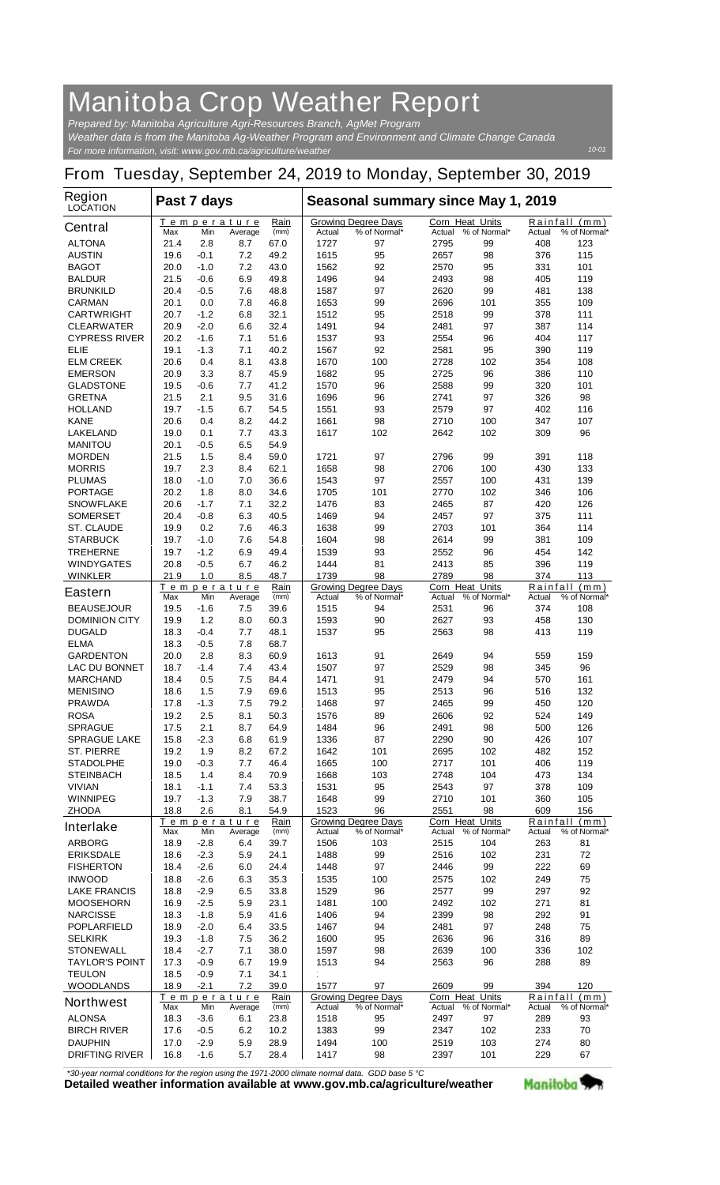## **Manitoba Crop Weather Report**

*For more information, visit: www.gov.mb.ca/agriculture/weather Prepared by: Manitoba Agriculture Agri-Resources Branch, AgMet Program Weather data is from the Manitoba Ag-Weather Program and Environment and Climate Change Canada*

## **From Tuesday, September 24, 2019 to Monday, September 30, 2019**

| Region<br><b>LOCATION</b>                 | Past 7 days  |                  |                               |              | Seasonal summary since May 1, 2019 |                                            |                                  |                     |               |                               |  |
|-------------------------------------------|--------------|------------------|-------------------------------|--------------|------------------------------------|--------------------------------------------|----------------------------------|---------------------|---------------|-------------------------------|--|
| <b>Central</b>                            | Max          | Min              | <u>Temperature</u><br>Average | Rain<br>(mm) | Actual                             | <b>Growing Degree Days</b><br>% of Normal* | <b>Corn Heat Units</b><br>Actual | % of Normal*        | Actual        | Rainfall (mm)<br>% of Normal* |  |
| <b>ALTONA</b>                             | 21.4         | 2.8              | 8.7                           | 67.0         | 1727                               | 97                                         | 2795                             | 99                  | 408           | 123                           |  |
| <b>AUSTIN</b>                             | 19.6         | -0.1             | 7.2                           | 49.2         | 1615                               | 95                                         | 2657                             | 98                  | 376           | 115                           |  |
| <b>BAGOT</b>                              | 20.0         | $-1.0$           | 7.2                           | 43.0         | 1562                               | 92                                         | 2570                             | 95                  | 331           | 101                           |  |
| <b>BALDUR</b>                             | 21.5         | $-0.6$           | 6.9                           | 49.8         | 1496                               | 94                                         | 2493                             | 98                  | 405           | 119                           |  |
| <b>BRUNKILD</b>                           | 20.4         | -0.5             | 7.6                           | 48.8         | 1587                               | 97                                         | 2620                             | 99                  | 481           | 138                           |  |
| <b>CARMAN</b>                             | 20.1         | 0.0              | 7.8                           | 46.8         | 1653                               | 99                                         | 2696                             | 101                 | 355           | 109                           |  |
| <b>CARTWRIGHT</b>                         | 20.7         | $-1.2$           | 6.8                           | 32.1         | 1512                               | 95                                         | 2518                             | 99                  | 378           | 111                           |  |
| <b>CLEARWATER</b><br><b>CYPRESS RIVER</b> | 20.9<br>20.2 | $-2.0$<br>$-1.6$ | 6.6<br>7.1                    | 32.4<br>51.6 | 1491<br>1537                       | 94<br>93                                   | 2481<br>2554                     | 97<br>96            | 387<br>404    | 114<br>117                    |  |
| <b>ELIE</b>                               | 19.1         | $-1.3$           | 7.1                           | 40.2         | 1567                               | 92                                         | 2581                             | 95                  | 390           | 119                           |  |
| <b>ELM CREEK</b>                          | 20.6         | 0.4              | 8.1                           | 43.8         | 1670                               | 100                                        | 2728                             | 102                 | 354           | 108                           |  |
| <b>EMERSON</b>                            | 20.9         | 3.3              | 8.7                           | 45.9         | 1682                               | 95                                         | 2725                             | 96                  | 386           | 110                           |  |
| <b>GLADSTONE</b>                          | 19.5         | -0.6             | 7.7                           | 41.2         | 1570                               | 96                                         | 2588                             | 99                  | 320           | 101                           |  |
| <b>GRETNA</b>                             | 21.5         | 2.1              | 9.5                           | 31.6         | 1696                               | 96                                         | 2741                             | 97                  | 326           | 98                            |  |
| <b>HOLLAND</b>                            | 19.7         | -1.5             | 6.7                           | 54.5         | 1551                               | 93                                         | 2579                             | 97                  | 402           | 116                           |  |
| <b>KANE</b>                               | 20.6         | 0.4              | 8.2                           | 44.2         | 1661                               | 98                                         | 2710                             | 100                 | 347           | 107                           |  |
| <b>LAKELAND</b>                           | 19.0         | 0.1              | 7.7                           | 43.3         | 1617                               | 102                                        | 2642                             | 102                 | 309           | 96                            |  |
| <b>MANITOU</b>                            | 20.1         | -0.5             | 6.5                           | 54.9         |                                    |                                            |                                  |                     |               |                               |  |
| <b>MORDEN</b><br><b>MORRIS</b>            | 21.5<br>19.7 | 1.5<br>2.3       | 8.4<br>8.4                    | 59.0<br>62.1 | 1721<br>1658                       | 97<br>98                                   | 2796<br>2706                     | 99<br>100           | 391<br>430    | 118<br>133                    |  |
| <b>PLUMAS</b>                             | 18.0         | -1.0             | 7.0                           | 36.6         | 1543                               | 97                                         | 2557                             | 100                 | 431           | 139                           |  |
| <b>PORTAGE</b>                            | 20.2         | 1.8              | 8.0                           | 34.6         | 1705                               | 101                                        | 2770                             | 102                 | 346           | 106                           |  |
| <b>SNOWFLAKE</b>                          | 20.6         | $-1.7$           | 7.1                           | 32.2         | 1476                               | 83                                         | 2465                             | 87                  | 420           | 126                           |  |
| <b>SOMERSET</b>                           | 20.4         | $-0.8$           | 6.3                           | 40.5         | 1469                               | 94                                         | 2457                             | 97                  | 375           | 111                           |  |
| <b>ST. CLAUDE</b>                         | 19.9         | 0.2              | 7.6                           | 46.3         | 1638                               | 99                                         | 2703                             | 101                 | 364           | 114                           |  |
| <b>STARBUCK</b>                           | 19.7         | $-1.0$           | 7.6                           | 54.8         | 1604                               | 98                                         | 2614                             | 99                  | 381           | 109                           |  |
| <b>TREHERNE</b>                           | 19.7         | $-1.2$           | 6.9                           | 49.4         | 1539                               | 93                                         | 2552                             | 96                  | 454           | 142                           |  |
| <b>WINDYGATES</b>                         | 20.8         | $-0.5$           | 6.7                           | 46.2         | 1444                               | 81                                         | 2413                             | 85                  | 396           | 119                           |  |
| <b>WINKLER</b>                            | 21.9         | 1.0              | 8.5                           | 48.7         | 1739                               | 98                                         | 2789                             | 98                  | 374           | 113                           |  |
| <b>Eastern</b>                            | Max          | Min              | <b>Temperature</b><br>Average | Rain<br>(mm) | Actual                             | <b>Growing Degree Days</b><br>% of Normal* | <b>Corn Heat Units</b><br>Actual | % of Normal*        | Actual        | Rainfall (mm)<br>% of Normal* |  |
| <b>BEAUSEJOUR</b>                         | 19.5         | -1.6             | 7.5                           | 39.6         | 1515                               | 94                                         | 2531                             | 96                  | 374           | 108                           |  |
| <b>DOMINION CITY</b>                      | 19.9         | 1.2              | 8.0                           | 60.3         | 1593                               | 90                                         | 2627                             | 93                  | 458           | 130                           |  |
| <b>DUGALD</b>                             | 18.3         | -0.4             | 7.7                           | 48.1         | 1537                               | 95                                         | 2563                             | 98                  | 413           | 119                           |  |
| <b>ELMA</b>                               | 18.3         | -0.5             | 7.8                           | 68.7         |                                    |                                            |                                  |                     |               |                               |  |
| <b>GARDENTON</b>                          | 20.0         | 2.8              | 8.3                           | 60.9         | 1613                               | 91                                         | 2649                             | 94                  | 559           | 159                           |  |
| <b>LAC DU BONNET</b>                      | 18.7         | $-1.4$           | 7.4                           | 43.4         | 1507                               | 97                                         | 2529                             | 98                  | 345           | 96                            |  |
| <b>MARCHAND</b>                           | 18.4         | 0.5              | 7.5                           | 84.4         | 1471                               | 91                                         | 2479                             | 94                  | 570           | 161                           |  |
| <b>MENISINO</b>                           | 18.6         | 1.5              | 7.9                           | 69.6         | 1513                               | 95                                         | 2513                             | 96                  | 516           | 132                           |  |
| <b>PRAWDA</b>                             | 17.8         | $-1.3$<br>2.5    | 7.5                           | 79.2         | 1468                               | 97                                         | 2465<br>2606                     | 99<br>92            | 450           | 120                           |  |
| <b>ROSA</b><br><b>SPRAGUE</b>             | 19.2<br>17.5 | 2.1              | 8.1<br>8.7                    | 50.3<br>64.9 | 1576<br>1484                       | 89<br>96                                   | 2491                             | 98                  | 524<br>500    | 149<br>126                    |  |
| <b>SPRAGUE LAKE</b>                       | 15.8         | -2.3             | 6.8                           | 61.9         | 1336                               | 87                                         | 2290                             | 90                  | 426           | 107                           |  |
| <b>ST. PIERRE</b>                         | 19.2         | 1.9              | 8.2                           | 67.2         | 1642                               | 101                                        | 2695                             | 102                 | 482           | 152                           |  |
| <b>STADOLPHE</b>                          | 19.0         | -0.3             | 7.7                           | 46.4         | 1665                               | 100                                        | 2717                             | 101                 | 406           | 119                           |  |
| <b>STEINBACH</b>                          | 18.5         | 1.4              | 8.4                           | 70.9         | 1668                               | 103                                        | 2748                             | 104                 | 473           | 134                           |  |
| <b>VIVIAN</b>                             | 18.1         | $-1.1$           | 7.4                           | 53.3         | 1531                               | 95                                         | 2543                             | 97                  | 378           | 109                           |  |
| <b>WINNIPEG</b>                           | 19.7         | $-1.3$           | 7.9                           | 38.7         | 1648                               | 99                                         | 2710                             | 101                 | 360           | 105                           |  |
| <b>ZHODA</b>                              | 18.8         | 2.6              | 8.1                           | 54.9         | 1523                               | 96                                         | 2551                             | 98                  | 609           | 156                           |  |
| <b>Interlake</b>                          |              |                  | Temperature                   | Rain<br>(mm) |                                    | <b>Growing Degree Days</b><br>% of Normal* | <b>Corn Heat Units</b>           |                     |               | Rainfall (mm)                 |  |
| <b>ARBORG</b>                             | Max<br>18.9  | Min<br>$-2.8$    | Average<br>6.4                | 39.7         | Actual<br>1506                     | 103                                        | Actual<br>2515                   | % of Normal*<br>104 | Actual<br>263 | % of Normal*<br>81            |  |
| <b>ERIKSDALE</b>                          | 18.6         | $-2.3$           | 5.9                           | 24.1         | 1488                               | 99                                         | 2516                             | 102                 | 231           | 72                            |  |
| <b>FISHERTON</b>                          | 18.4         | $-2.6$           | 6.0                           | 24.4         | 1448                               | 97                                         | 2446                             | 99                  | 222           | 69                            |  |
| <b>INWOOD</b>                             | 18.8         | $-2.6$           | 6.3                           | 35.3         | 1535                               | 100                                        | 2575                             | 102                 | 249           | 75                            |  |
| <b>LAKE FRANCIS</b>                       | 18.8         | $-2.9$           | 6.5                           | 33.8         | 1529                               | 96                                         | 2577                             | 99                  | 297           | 92                            |  |
| <b>MOOSEHORN</b>                          | 16.9         | $-2.5$           | 5.9                           | 23.1         | 1481                               | 100                                        | 2492                             | 102                 | 271           | 81                            |  |
| <b>NARCISSE</b>                           | 18.3         | $-1.8$           | 5.9                           | 41.6         | 1406                               | 94                                         | 2399                             | 98                  | 292           | 91                            |  |
| <b>POPLARFIELD</b>                        | 18.9         | $-2.0$           | 6.4                           | 33.5         | 1467                               | 94                                         | 2481                             | 97                  | 248           | 75                            |  |
| <b>SELKIRK</b>                            | 19.3         | $-1.8$           | 7.5                           | 36.2         | 1600                               | 95                                         | 2636                             | 96                  | 316           | 89                            |  |
| <b>STONEWALL</b>                          | 18.4         | $-2.7$           | 7.1                           | 38.0         | 1597                               | 98                                         | 2639                             | 100                 | 336           | 102                           |  |
| <b>TAYLOR'S POINT</b>                     | 17.3         | -0.9             | 6.7                           | 19.9         | 1513                               | 94                                         | 2563                             | 96                  | 288           | 89                            |  |
| <b>TEULON</b><br><b>WOODLANDS</b>         | 18.5<br>18.9 | $-0.9$<br>$-2.1$ | 7.1<br>7.2                    | 34.1<br>39.0 | 1577                               | 97                                         | 2609                             | 99                  | 394           | 120                           |  |
| <b>Northwest</b>                          |              |                  | Temperature                   | Rain         |                                    | <b>Growing Degree Days</b>                 | Corn Heat Units                  |                     |               | Rainfall (mm)                 |  |
| <b>ALONSA</b>                             | Max<br>18.3  | Min<br>$-3.6$    | Average<br>6.1                | (mm)<br>23.8 | Actual<br>1518                     | % of Normal*<br>95                         | Actual<br>2497                   | % of Normal*<br>97  | Actual<br>289 | % of Normal*<br>93            |  |
| <b>BIRCH RIVER</b>                        | 17.6         | $-0.5$           | 6.2                           | 10.2         | 1383                               | 99                                         | 2347                             | 102                 | 233           | 70                            |  |
| <b>DAUPHIN</b>                            | 17.0         | $-2.9$           | 5.9                           | 28.9         | 1494                               | 100                                        | 2519                             | 103                 | 274           | 80                            |  |
| <b>DRIFTING RIVER</b>                     | 16.8         | -1.6             | 5.7                           | 28.4         | 1417                               | 98                                         | 2397                             | 101                 | 229           | 67                            |  |

*\*30-year normal conditions for the region using the 1971-2000 climate normal data. GDD base 5 °C*<br>Detailed weather information available at www.gov.mb.ca/agriculture/weather

Manitoba<sup>9</sup>